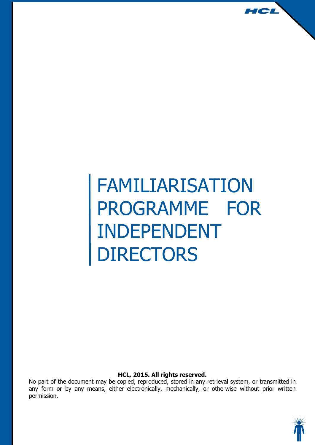# FAMILIARISATION PROGRAMME FOR INDEPENDENT DIRECTORS

#### **HCL, 2015. All rights reserved.**

No part of the document may be copied, reproduced, stored in any retrieval system, or transmitted in any form or by any means, either electronically, mechanically, or otherwise without prior written permission.



HCL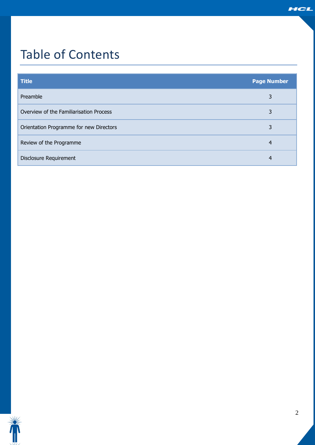# Table of Contents

| <b>Title</b>                            | <b>Page Number</b> |
|-----------------------------------------|--------------------|
| Preamble                                | 3                  |
| Overview of the Familiarisation Process | 3                  |
| Orientation Programme for new Directors | 3                  |
| Review of the Programme                 | 4                  |
| Disclosure Requirement                  | 4                  |

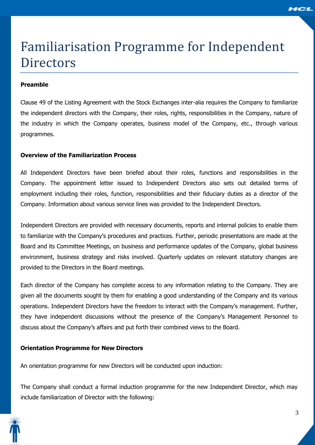

# Familiarisation Programme for Independent **Directors**

### **Preamble**

Clause 49 of the Listing Agreement with the Stock Exchanges inter-alia requires the Company to familiarize the independent directors with the Company, their roles, rights, responsibilities in the Company, nature of the industry in which the Company operates, business model of the Company, etc., through various programmes.

### **Overview of the Familiarization Process**

All Independent Directors have been briefed about their roles, functions and responsibilities in the Company. The appointment letter issued to Independent Directors also sets out detailed terms of employment including their roles, function, responsibilities and their fiduciary duties as a director of the Company. Information about various service lines was provided to the Independent Directors.

Independent Directors are provided with necessary documents, reports and internal policies to enable them to familiarize with the Company's procedures and practices. Further, periodic presentations are made at the Board and its Committee Meetings, on business and performance updates of the Company, global business environment, business strategy and risks involved. Quarterly updates on relevant statutory changes are provided to the Directors in the Board meetings.

Each director of the Company has complete access to any information relating to the Company. They are given all the documents sought by them for enabling a good understanding of the Company and its various operations. Independent Directors have the freedom to interact with the Company's management. Further, they have independent discussions without the presence of the Company's Management Personnel to discuss about the Company's affairs and put forth their combined views to the Board.

#### **Orientation Programme for New Directors**

An orientation programme for new Directors will be conducted upon induction:

The Company shall conduct a formal induction programme for the new Independent Director, which may include familiarization of Director with the following: